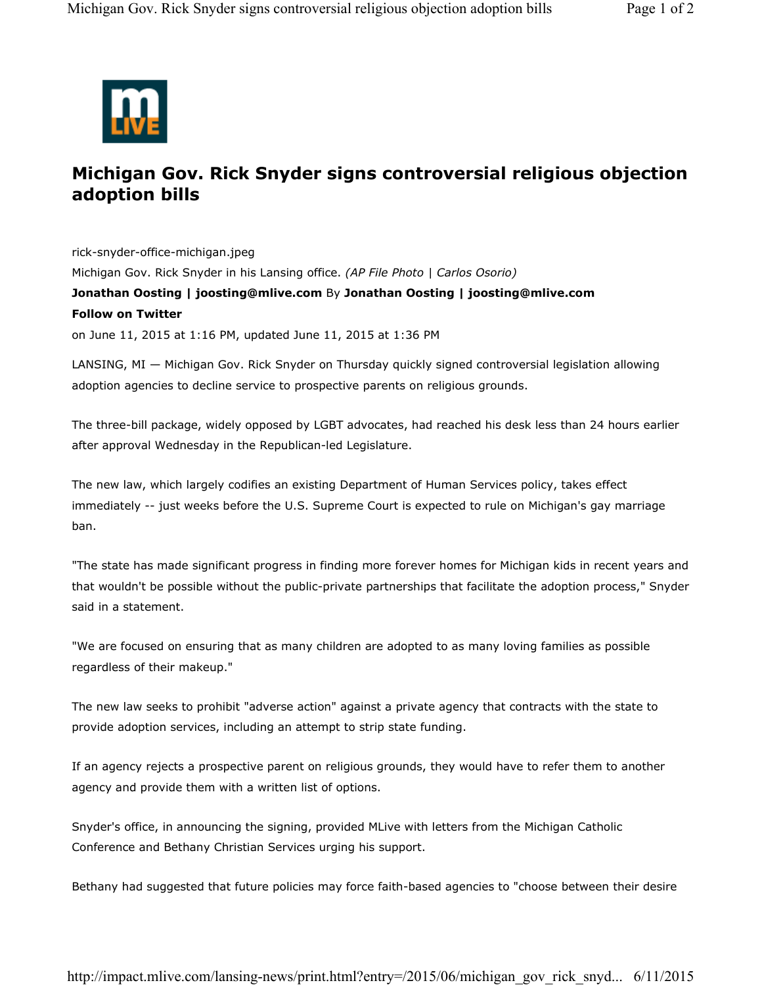

## **Michigan Gov. Rick Snyder signs controversial religious objection adoption bills**

rick-snyder-office-michigan.jpeg Michigan Gov. Rick Snyder in his Lansing office. *(AP File Photo | Carlos Osorio)* **Jonathan Oosting | joosting@mlive.com** By **Jonathan Oosting | joosting@mlive.com Follow on Twitter** on June 11, 2015 at 1:16 PM, updated June 11, 2015 at 1:36 PM

LANSING, MI — Michigan Gov. Rick Snyder on Thursday quickly signed controversial legislation allowing adoption agencies to decline service to prospective parents on religious grounds.

The three-bill package, widely opposed by LGBT advocates, had reached his desk less than 24 hours earlier after approval Wednesday in the Republican-led Legislature.

The new law, which largely codifies an existing Department of Human Services policy, takes effect immediately -- just weeks before the U.S. Supreme Court is expected to rule on Michigan's gay marriage ban.

"The state has made significant progress in finding more forever homes for Michigan kids in recent years and that wouldn't be possible without the public-private partnerships that facilitate the adoption process," Snyder said in a statement.

"We are focused on ensuring that as many children are adopted to as many loving families as possible regardless of their makeup."

The new law seeks to prohibit "adverse action" against a private agency that contracts with the state to provide adoption services, including an attempt to strip state funding.

If an agency rejects a prospective parent on religious grounds, they would have to refer them to another agency and provide them with a written list of options.

Snyder's office, in announcing the signing, provided MLive with letters from the Michigan Catholic Conference and Bethany Christian Services urging his support.

Bethany had suggested that future policies may force faith-based agencies to "choose between their desire

http://impact.mlive.com/lansing-news/print.html?entry=/2015/06/michigan\_gov\_rick\_snyd... 6/11/2015